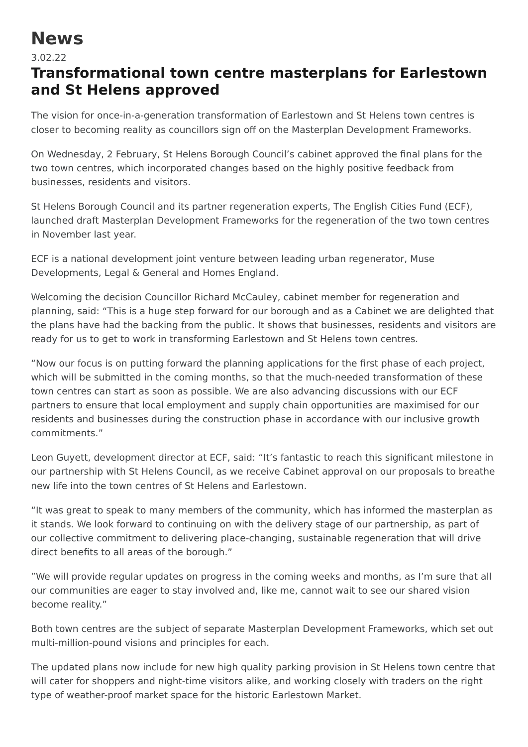## **News**

## 3.02.22

## **Transformational town centre masterplans for Earlestown and St Helens approved**

The vision for once-in-a-generation transformation of Earlestown and St Helens town centres is closer to becoming reality as councillors sign off on the Masterplan Development Frameworks.

On Wednesday, 2 February, St Helens Borough Council's cabinet approved the final plans for the two town centres, which incorporated changes based on the highly positive feedback from businesses, residents and visitors.

St Helens Borough Council and its partner regeneration experts, The English Cities Fund (ECF), launched draft Masterplan Development Frameworks for the regeneration of the two town centres in November last year.

ECF is a national development joint venture between leading urban regenerator, Muse Developments, Legal & General and Homes England.

Welcoming the decision Councillor Richard McCauley, cabinet member for regeneration and planning, said: "This is a huge step forward for our borough and as a Cabinet we are delighted that the plans have had the backing from the public. It shows that businesses, residents and visitors are ready for us to get to work in transforming Earlestown and St Helens town centres.

"Now our focus is on putting forward the planning applications for the first phase of each project, which will be submitted in the coming months, so that the much-needed transformation of these town centres can start as soon as possible. We are also advancing discussions with our ECF partners to ensure that local employment and supply chain opportunities are maximised for our residents and businesses during the construction phase in accordance with our inclusive growth commitments."

Leon Guyett, development director at ECF, said: "It's fantastic to reach this significant milestone in our partnership with St Helens Council, as we receive Cabinet approval on our proposals to breathe new life into the town centres of St Helens and Earlestown.

"It was great to speak to many members of the community, which has informed the masterplan as it stands. We look forward to continuing on with the delivery stage of our partnership, as part of our collective commitment to delivering place-changing, sustainable regeneration that will drive direct benefits to all areas of the borough."

"We will provide regular updates on progress in the coming weeks and months, as I'm sure that all our communities are eager to stay involved and, like me, cannot wait to see our shared vision become reality."

Both town centres are the subject of separate Masterplan Development Frameworks, which set out multi-million-pound visions and principles for each.

The updated plans now include for new high quality parking provision in St Helens town centre that will cater for shoppers and night-time visitors alike, and working closely with traders on the right type of weather-proof market space for the historic Earlestown Market.